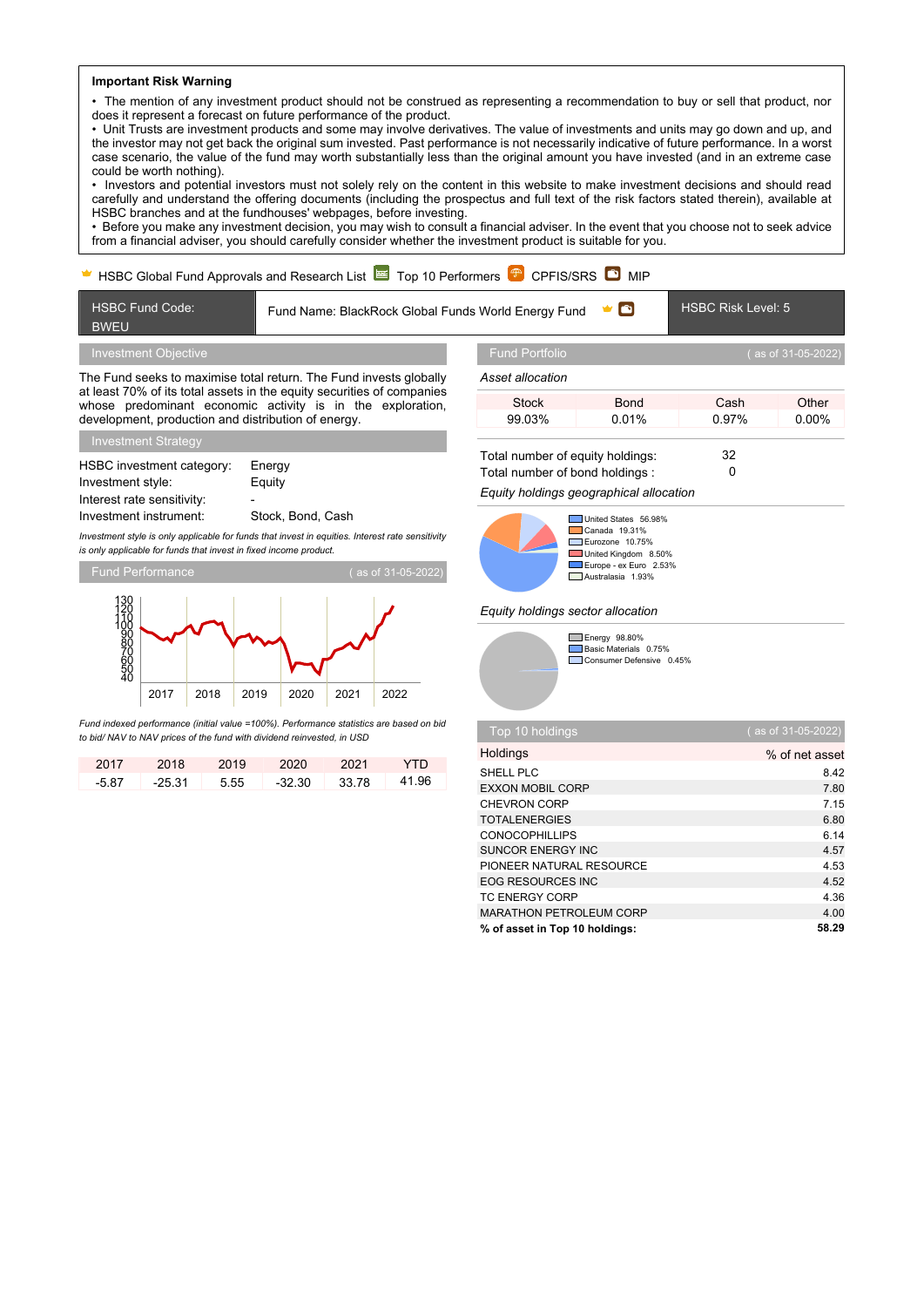## **Important Risk Warning** • The mention of any investment product should not be construed as representing a recommendation to buy or sell that product, nor

does it represent a forecast on future performance of the product. • Unit Trusts are investment products and some may involve derivatives. The value of investments and units may go down and up, and the investor may not get back the original sum invested. Past performance is not necessarily indicative of future performance. In a worst case scenario, the value of the fund may worth substantially less than the original amount you have invested (and in an extreme case could be worth nothing).

• Investors and potential investors must not solely rely on the content in this website to make investment decisions and should read carefully and understand the offering documents (including the prospectus and full text of the risk factors stated therein), available at HSBC branches and at the fundhouses' webpages, before investing.

• Before you make any investment decision, you may wish to consult a financial adviser. In the event that you choose not to seek advice from a financial adviser, you should carefully consider whether the investment product is suitable for you.

## HSBC Global Fund Approvals and Research List  $\approx$  Top 10 Performers  $\mathbb{P}$  CPFIS/SRS  $\bullet$  MIP HSBC Fund Code: BWEU Fund Name: BlackRock Global Funds World Energy Fund V **D** HSBC Risk Level: 5 Investment Objective The Fund seeks to maximise total return. The Fund invests globally at least 70% of its total assets in the equity securities of companies whose predominant economic activity is in the exploration. development, production and distribution of energy. Investment Strategy HSBC investment category: Energy Investment style: Equity Interest rate sensitivity: Investment instrument: Stock, Bond, Cash *Investment style is only applicable for funds that invest in equities. Interest rate sensitivity is only applicable for funds that invest in fixed income product.* Fund Performance ( as of 31-05-2022) 2017 2018 2019 2020 2021 2022 130<br>110<br>100<br>80<br>60<br>50<br>50<br>40<br>40 *Fund indexed performance (initial value =100%). Performance statistics are based on bid* Fund Portfolio ( as of 31-05-2022) *Asset allocation* Stock Bond Cash Other 99.03% 0.01% 0.97% 0.00% Total number of equity holdings: 32 Total number of bond holdings : 0 *Equity holdings geographical allocation* United States 56.98% Canada 19.31% Eurozone 10.75% United Kingdom 8.50% Europe - ex Euro 2.53% Australasia 1.93% *Equity holdings sector allocation* Energy 98.80% Basic Materials 0.75% Consumer Defensive 0.45%

*to bid/ NAV to NAV prices of the fund with dividend reinvested, in USD* 2017 2018 2019 2020 2021 YTD -5.87 -25.31 5.55 -32.30 33.78 41.96

| Top 10 holdings                | (as of 31-05-2022) |
|--------------------------------|--------------------|
| Holdings                       | % of net asset     |
| SHELL PLC                      | 8.42               |
| <b>EXXON MOBIL CORP</b>        | 7.80               |
| CHEVRON CORP                   | 7.15               |
| <b>TOTALENERGIES</b>           | 6.80               |
| <b>CONOCOPHILLIPS</b>          | 6.14               |
| <b>SUNCOR ENERGY INC</b>       | 4.57               |
| PIONEER NATURAL RESOURCE       | 4.53               |
| <b>EOG RESOURCES INC</b>       | 4.52               |
| <b>TC ENERGY CORP</b>          | 4.36               |
| <b>MARATHON PETROLEUM CORP</b> | 4.00               |
| % of asset in Top 10 holdings: | 58.29              |